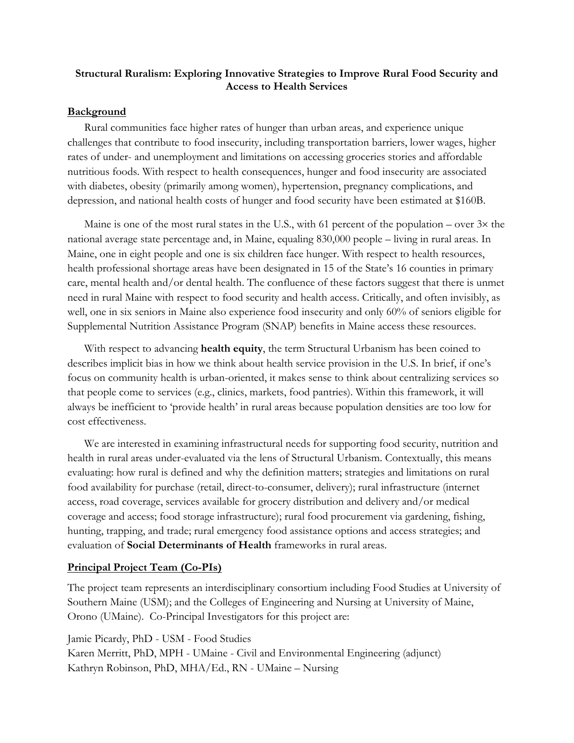#### **Structural Ruralism: Exploring Innovative Strategies to Improve Rural Food Security and Access to Health Services**

#### **Background**

Rural communities face higher rates of hunger than urban areas, and experience unique challenges that contribute to food insecurity, including transportation barriers, lower wages, higher rates of under- and unemployment and limitations on accessing groceries stories and affordable nutritious foods. With respect to health consequences, hunger and food insecurity are associated with diabetes, obesity (primarily among women), hypertension, pregnancy complications, and depression, and national health costs of hunger and food security have been estimated at \$160B.

Maine is one of the most rural states in the U.S., with 61 percent of the population – over  $3\times$  the national average state percentage and, in Maine, equaling 830,000 people – living in rural areas. In Maine, one in eight people and one is six children face hunger. With respect to health resources, health professional shortage areas have been designated in 15 of the State's 16 counties in primary care, mental health and/or dental health. The confluence of these factors suggest that there is unmet need in rural Maine with respect to food security and health access. Critically, and often invisibly, as well, one in six seniors in Maine also experience food insecurity and only 60% of seniors eligible for Supplemental Nutrition Assistance Program (SNAP) benefits in Maine access these resources.

With respect to advancing **health equity**, the term Structural Urbanism has been coined to describes implicit bias in how we think about health service provision in the U.S. In brief, if one's focus on community health is urban-oriented, it makes sense to think about centralizing services so that people come to services (e.g., clinics, markets, food pantries). Within this framework, it will always be inefficient to 'provide health' in rural areas because population densities are too low for cost effectiveness.

We are interested in examining infrastructural needs for supporting food security, nutrition and health in rural areas under-evaluated via the lens of Structural Urbanism. Contextually, this means evaluating: how rural is defined and why the definition matters; strategies and limitations on rural food availability for purchase (retail, direct-to-consumer, delivery); rural infrastructure (internet access, road coverage, services available for grocery distribution and delivery and/or medical coverage and access; food storage infrastructure); rural food procurement via gardening, fishing, hunting, trapping, and trade; rural emergency food assistance options and access strategies; and evaluation of **Social Determinants of Health** frameworks in rural areas.

#### **Principal Project Team (Co-PIs)**

The project team represents an interdisciplinary consortium including Food Studies at University of Southern Maine (USM); and the Colleges of Engineering and Nursing at University of Maine, Orono (UMaine). Co-Principal Investigators for this project are:

Jamie Picardy, PhD - USM - Food Studies Karen Merritt, PhD, MPH - UMaine - Civil and Environmental Engineering (adjunct) Kathryn Robinson, PhD, MHA/Ed., RN - UMaine – Nursing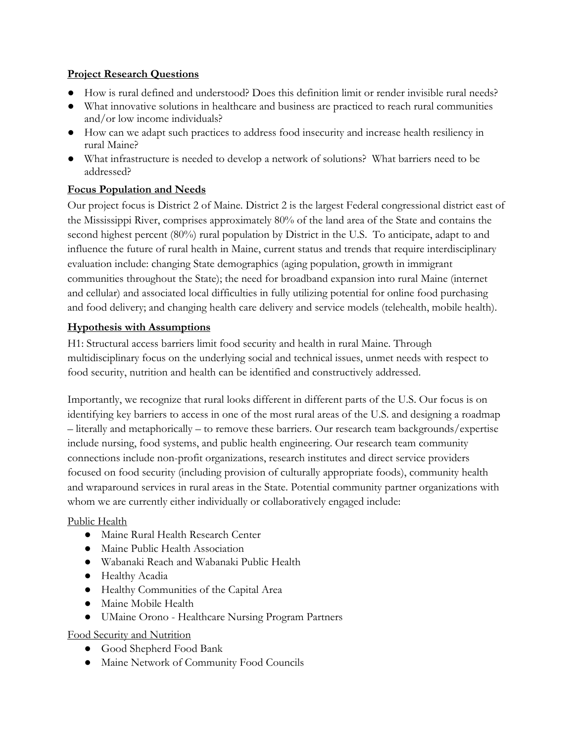#### **Project Research Questions**

- How is rural defined and understood? Does this definition limit or render invisible rural needs?
- What innovative solutions in healthcare and business are practiced to reach rural communities and/or low income individuals?
- How can we adapt such practices to address food insecurity and increase health resiliency in rural Maine?
- What infrastructure is needed to develop a network of solutions? What barriers need to be addressed?

# **Focus Population and Needs**

Our project focus is District 2 of Maine. District 2 is the largest Federal congressional district east of the Mississippi River, comprises approximately 80% of the land area of the State and contains the second highest percent (80%) rural population by District in the U.S. To anticipate, adapt to and influence the future of rural health in Maine, current status and trends that require interdisciplinary evaluation include: changing State demographics (aging population, growth in immigrant communities throughout the State); the need for broadband expansion into rural Maine (internet and cellular) and associated local difficulties in fully utilizing potential for online food purchasing and food delivery; and changing health care delivery and service models (telehealth, mobile health).

## **Hypothesis with Assumptions**

H1: Structural access barriers limit food security and health in rural Maine. Through multidisciplinary focus on the underlying social and technical issues, unmet needs with respect to food security, nutrition and health can be identified and constructively addressed.

Importantly, we recognize that rural looks different in different parts of the U.S. Our focus is on identifying key barriers to access in one of the most rural areas of the U.S. and designing a roadmap – literally and metaphorically – to remove these barriers. Our research team backgrounds/expertise include nursing, food systems, and public health engineering. Our research team community connections include non-profit organizations, research institutes and direct service providers focused on food security (including provision of culturally appropriate foods), community health and wraparound services in rural areas in the State. Potential community partner organizations with whom we are currently either individually or collaboratively engaged include:

## Public Health

- Maine Rural Health Research Center
- Maine Public Health Association
- Wabanaki Reach and Wabanaki Public Health
- Healthy Acadia
- Healthy Communities of the Capital Area
- Maine Mobile Health
- UMaine Orono Healthcare Nursing Program Partners

## Food Security and Nutrition

- Good Shepherd Food Bank
- Maine Network of Community Food Councils